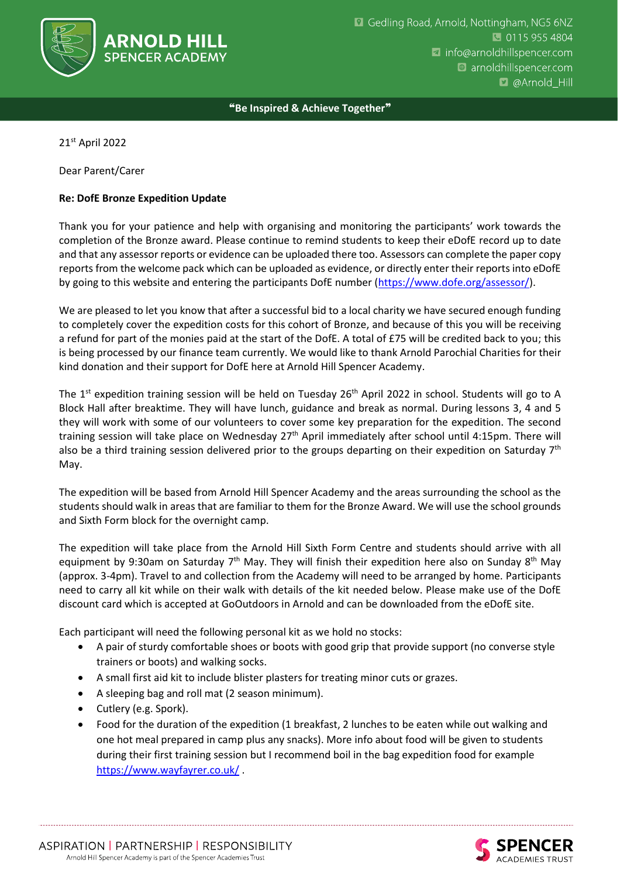

❝**Be Inspired & Achieve Together**❞

21st April 2022

Dear Parent/Carer

## **Re: DofE Bronze Expedition Update**

Thank you for your patience and help with organising and monitoring the participants' work towards the completion of the Bronze award. Please continue to remind students to keep their eDofE record up to date and that any assessor reports or evidence can be uploaded there too. Assessors can complete the paper copy reports from the welcome pack which can be uploaded as evidence, or directly enter their reports into eDofE by going to this website and entering the participants DofE number [\(https://www.dofe.org/assessor/\)](https://www.dofe.org/assessor/).

We are pleased to let you know that after a successful bid to a local charity we have secured enough funding to completely cover the expedition costs for this cohort of Bronze, and because of this you will be receiving a refund for part of the monies paid at the start of the DofE. A total of £75 will be credited back to you; this is being processed by our finance team currently. We would like to thank Arnold Parochial Charities for their kind donation and their support for DofE here at Arnold Hill Spencer Academy.

The 1<sup>st</sup> expedition training session will be held on Tuesday 26<sup>th</sup> April 2022 in school. Students will go to A Block Hall after breaktime. They will have lunch, guidance and break as normal. During lessons 3, 4 and 5 they will work with some of our volunteers to cover some key preparation for the expedition. The second training session will take place on Wednesday  $27<sup>th</sup>$  April immediately after school until 4:15pm. There will also be a third training session delivered prior to the groups departing on their expedition on Saturday 7<sup>th</sup> May.

The expedition will be based from Arnold Hill Spencer Academy and the areas surrounding the school as the students should walk in areas that are familiar to them for the Bronze Award. We will use the school grounds and Sixth Form block for the overnight camp.

The expedition will take place from the Arnold Hill Sixth Form Centre and students should arrive with all equipment by 9:30am on Saturday 7<sup>th</sup> May. They will finish their expedition here also on Sunday 8<sup>th</sup> May (approx. 3-4pm). Travel to and collection from the Academy will need to be arranged by home. Participants need to carry all kit while on their walk with details of the kit needed below. Please make use of the DofE discount card which is accepted at GoOutdoors in Arnold and can be downloaded from the eDofE site.

Each participant will need the following personal kit as we hold no stocks:

- A pair of sturdy comfortable shoes or boots with good grip that provide support (no converse style trainers or boots) and walking socks.
- A small first aid kit to include blister plasters for treating minor cuts or grazes.
- A sleeping bag and roll mat (2 season minimum).
- Cutlery (e.g. Spork).
- Food for the duration of the expedition (1 breakfast, 2 lunches to be eaten while out walking and one hot meal prepared in camp plus any snacks). More info about food will be given to students during their first training session but I recommend boil in the bag expedition food for example <https://www.wayfayrer.co.uk/> .